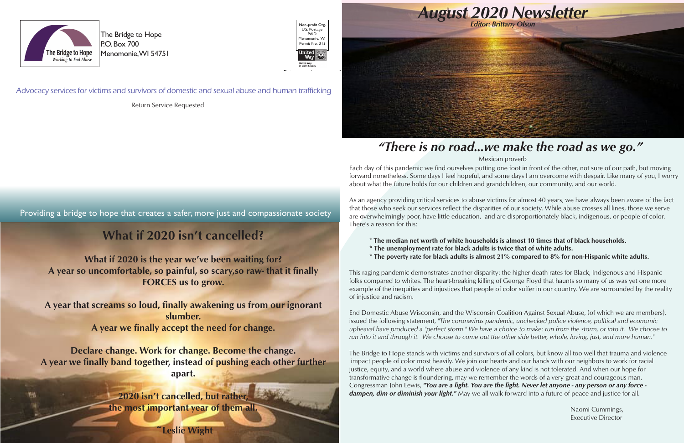

The Bridge to Hope P.O. Box 700 Menomonie, WI 54751

#### Advocacy services for victims and survivors of domestic and sexual abuse and human trafficking

Providing a bridge to hope that creates a safer, more just and compassionate society



Return Service Requested

Each day of this pandemic we find ourselves putting one foot in front of the other, not sure of our path, but moving forward nonetheless. Some days I feel hopeful, and some days I am overcome with despair. Like many of you, I worry about what the future holds for our children and grandchildren, our community, and our world.

As an agency providing critical services to abuse victims for almost 40 years, we have always been aware of the fact that those who seek our services reflect the disparities of our society. While abuse crosses all lines, those we serve are overwhelmingly poor, have little education, and are disproportionately black, indigenous, or people of color. There's a reason for this:

- \* **The median net worth of white households is almost 10 times that of black households.**
- **\* The unemployment rate for black adults is twice that of white adults.**
- 

**\* The poverty rate for black adults is almost 21% compared to 8% for non-Hispanic white adults.** 

This raging pandemic demonstrates another disparity: the higher death rates for Black, Indigenous and Hispanic folks compared to whites. The heart-breaking killing of George Floyd that haunts so many of us was yet one more example of the inequities and injustices that people of color suffer in our country. We are surrounded by the reality of injustice and racism.

End Domestic Abuse Wisconsin, and the Wisconsin Coalition Against Sexual Abuse, (of which we are members), issued the following statement, *"The coronavirus pandemic, unchecked police violence, political and economic upheaval have produced a "perfect storm." We have a choice to make: run from the storm, or into it. We choose to run into it and through it. We choose to come out the other side better, whole, loving, just, and more human."*

The Bridge to Hope stands with victims and survivors of all colors, but know all too well that trauma and violence impact people of color most heavily. We join our hearts and our hands with our neighbors to work for racial justice, equity, and a world where abuse and violence of any kind is not tolerated. And when our hope for transformative change is floundering, may we remember the words of a very great and courageous man, Congressman John Lewis, *"You are a light. You are the light. Never let anyone - any person or any force dampen, dim or diminish your light."* May we all walk forward into a future of peace and justice for all.

> Naomi Cummings, Executive Director

## *"There is no road...we make the road as we go."*

#### Mexican proverb

## **What if 2020 isn't cancelled?**

**What if 2020 is the year we've been waiting for? A year so uncomfortable, so painful, so scary,so raw- that it finally FORCES us to grow.**

**A year that screams so loud, finally awakening us from our ignorant slumber. A year we finally accept the need for change.**

**Declare change. Work for change. Become the change. A year we finally band together, instead of pushing each other further apart.**

> **2020 isn't cancelled, but rather, the most important year of them all.**

**Leslie Wight**